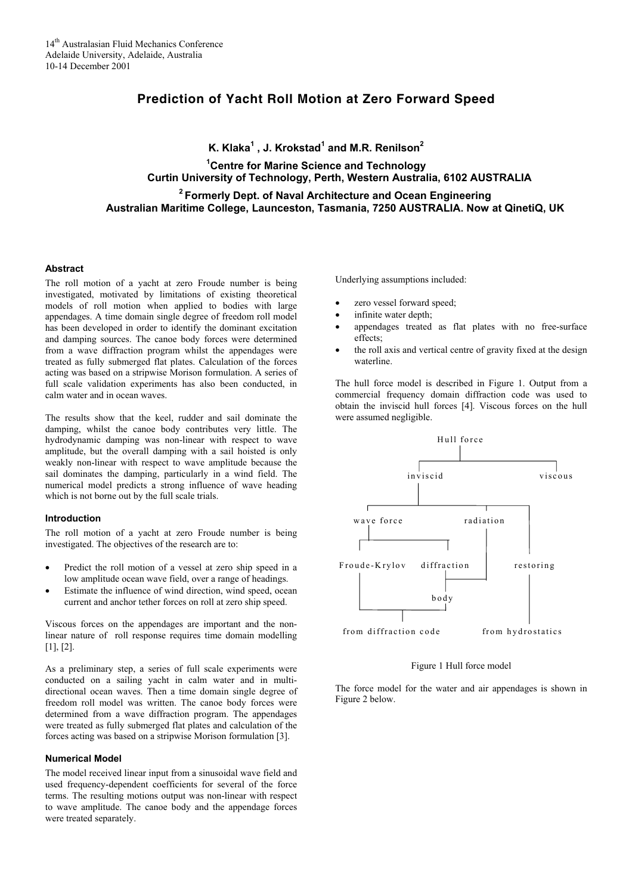# **Prediction of Yacht Roll Motion at Zero Forward Speed**

**K. Klaka<sup>1</sup> , J. Krokstad<sup>1</sup> and M.R. Renilson<sup>2</sup>**

# **1 Centre for Marine Science and Technology Curtin University of Technology, Perth, Western Australia, 6102 AUSTRALIA**

 **2 Formerly Dept. of Naval Architecture and Ocean Engineering Australian Maritime College, Launceston, Tasmania, 7250 AUSTRALIA. Now at QinetiQ, UK**

#### **Abstract**

The roll motion of a yacht at zero Froude number is being investigated, motivated by limitations of existing theoretical models of roll motion when applied to bodies with large appendages. A time domain single degree of freedom roll model has been developed in order to identify the dominant excitation and damping sources. The canoe body forces were determined from a wave diffraction program whilst the appendages were treated as fully submerged flat plates. Calculation of the forces acting was based on a stripwise Morison formulation. A series of full scale validation experiments has also been conducted, in calm water and in ocean waves.

The results show that the keel, rudder and sail dominate the damping, whilst the canoe body contributes very little. The hydrodynamic damping was non-linear with respect to wave amplitude, but the overall damping with a sail hoisted is only weakly non-linear with respect to wave amplitude because the sail dominates the damping, particularly in a wind field. The numerical model predicts a strong influence of wave heading which is not borne out by the full scale trials.

## **Introduction**

The roll motion of a yacht at zero Froude number is being investigated. The objectives of the research are to:

- Predict the roll motion of a vessel at zero ship speed in a low amplitude ocean wave field, over a range of headings.
- Estimate the influence of wind direction, wind speed, ocean current and anchor tether forces on roll at zero ship speed.

Viscous forces on the appendages are important and the nonlinear nature of roll response requires time domain modelling [1], [2].

As a preliminary step, a series of full scale experiments were conducted on a sailing yacht in calm water and in multidirectional ocean waves. Then a time domain single degree of freedom roll model was written. The canoe body forces were determined from a wave diffraction program. The appendages were treated as fully submerged flat plates and calculation of the forces acting was based on a stripwise Morison formulation [3].

#### **Numerical Model**

The model received linear input from a sinusoidal wave field and used frequency-dependent coefficients for several of the force terms. The resulting motions output was non-linear with respect to wave amplitude. The canoe body and the appendage forces were treated separately.

Underlying assumptions included:

- zero vessel forward speed;
- infinite water depth;
- appendages treated as flat plates with no free-surface effects;
- the roll axis and vertical centre of gravity fixed at the design waterline.

The hull force model is described in Figure 1. Output from a commercial frequency domain diffraction code was used to obtain the inviscid hull forces [4]. Viscous forces on the hull were assumed negligible.



Figure 1 Hull force model

The force model for the water and air appendages is shown in Figure 2 below.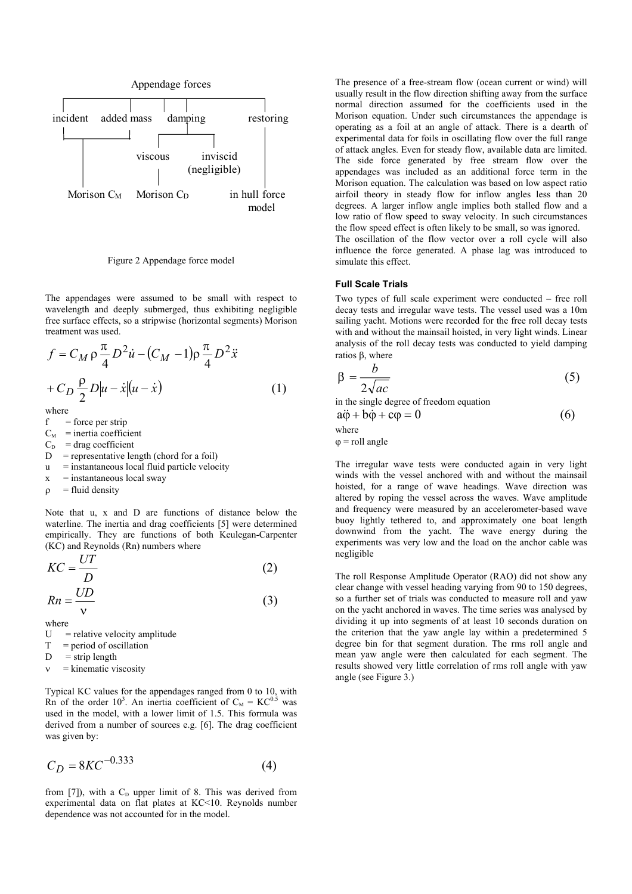

Figure 2 Appendage force model

The appendages were assumed to be small with respect to wavelength and deeply submerged, thus exhibiting negligible free surface effects, so a stripwise (horizontal segments) Morison treatment was used.

$$
f = C_M \rho \frac{\pi}{4} D^2 \dot{u} - (C_M - 1) \rho \frac{\pi}{4} D^2 \ddot{x}
$$

$$
+ C_D \frac{\rho}{2} D |u - \dot{x}| (u - \dot{x})
$$
(1)

where

 $f =$  force per strip

 $C_M$  = inertia coefficient

- $C_D$  = drag coefficient
- $D$  = representative length (chord for a foil)
- $u$  = instantaneous local fluid particle velocity
- $x =$  instantaneous local sway
- $\rho$  = fluid density

Note that u, x and D are functions of distance below the waterline. The inertia and drag coefficients [5] were determined empirically. They are functions of both Keulegan-Carpenter (KC) and Reynolds (Rn) numbers where

$$
KC = \frac{UT}{D}
$$
  
\n
$$
Rn = \frac{UD}{v}
$$
\n(2)

where

- $U =$  relative velocity amplitude
- $T =$  period of oscillation
- $D =$ strip length
- = kinematic viscosity

Typical KC values for the appendages ranged from 0 to 10, with Rn of the order 10<sup>3</sup>. An inertia coefficient of  $C_M = KC^{0.5}$  was used in the model, with a lower limit of 1.5. This formula was derived from a number of sources e.g. [6]. The drag coefficient was given by:

$$
C_D = 8KC^{-0.333}
$$
 (4)

from [7]), with a  $C_D$  upper limit of 8. This was derived from experimental data on flat plates at KC<10. Reynolds number dependence was not accounted for in the model.

The presence of a free-stream flow (ocean current or wind) will usually result in the flow direction shifting away from the surface normal direction assumed for the coefficients used in the Morison equation. Under such circumstances the appendage is operating as a foil at an angle of attack. There is a dearth of experimental data for foils in oscillating flow over the full range of attack angles. Even for steady flow, available data are limited. The side force generated by free stream flow over the appendages was included as an additional force term in the Morison equation. The calculation was based on low aspect ratio airfoil theory in steady flow for inflow angles less than 20 degrees. A larger inflow angle implies both stalled flow and a low ratio of flow speed to sway velocity. In such circumstances the flow speed effect is often likely to be small, so was ignored. The oscillation of the flow vector over a roll cycle will also

influence the force generated. A phase lag was introduced to simulate this effect.

## **Full Scale Trials**

Two types of full scale experiment were conducted – free roll decay tests and irregular wave tests. The vessel used was a 10m sailing yacht. Motions were recorded for the free roll decay tests with and without the mainsail hoisted, in very light winds. Linear analysis of the roll decay tests was conducted to yield damping ratios β, where

$$
\beta = \frac{b}{2\sqrt{ac}}\tag{5}
$$

in the single degree of freedom equation

 $a\ddot{\phi} + b\dot{\phi} + c\phi = 0$  (6)

where

 $\varphi$  = roll angle

The irregular wave tests were conducted again in very light winds with the vessel anchored with and without the mainsail hoisted, for a range of wave headings. Wave direction was altered by roping the vessel across the waves. Wave amplitude and frequency were measured by an accelerometer-based wave buoy lightly tethered to, and approximately one boat length downwind from the yacht. The wave energy during the experiments was very low and the load on the anchor cable was negligible

The roll Response Amplitude Operator (RAO) did not show any clear change with vessel heading varying from 90 to 150 degrees, so a further set of trials was conducted to measure roll and yaw on the yacht anchored in waves. The time series was analysed by dividing it up into segments of at least 10 seconds duration on the criterion that the yaw angle lay within a predetermined 5 degree bin for that segment duration. The rms roll angle and mean yaw angle were then calculated for each segment. The results showed very little correlation of rms roll angle with yaw angle (see Figure 3.)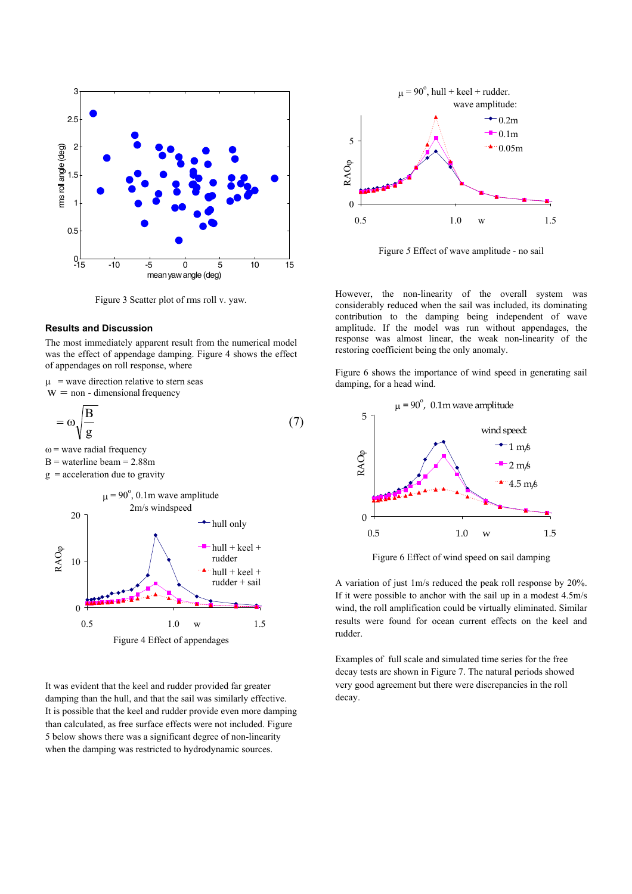

Figure 3 Scatter plot of rms roll v. yaw*.*

# **Results and Discussion**

The most immediately apparent result from the numerical model was the effect of appendage damping. Figure 4 shows the effect of appendages on roll response, where

 $\mu$  = wave direction relative to stern seas

 $w =$  non - dimensional frequency

$$
=\omega\sqrt{\frac{B}{g}}\tag{7}
$$

 $\omega$  = wave radial frequency

 $B$  = waterline beam = 2.88m

 $g =$  acceleration due to gravity



It was evident that the keel and rudder provided far greater damping than the hull, and that the sail was similarly effective. It is possible that the keel and rudder provide even more damping than calculated, as free surface effects were not included. Figure 5 below shows there was a significant degree of non-linearity when the damping was restricted to hydrodynamic sources.



Figure *5* Effect of wave amplitude - no sail

However, the non-linearity of the overall system was considerably reduced when the sail was included, its dominating contribution to the damping being independent of wave amplitude. If the model was run without appendages, the response was almost linear, the weak non-linearity of the restoring coefficient being the only anomaly.

Figure 6 shows the importance of wind speed in generating sail damping, for a head wind.

<span id="page-2-0"></span>

Figure 6 Effect of wind speed on sail damping

A variation of just 1m/s reduced the peak roll response by 20%. If it were possible to anchor with the sail up in a modest 4.5m/s wind, the roll amplification could be virtually eliminated. Similar results were found for ocean current effects on the keel and rudder.

Examples of full scale and simulated time series for the free decay tests are shown in Figure 7. The natural periods showed very good agreement but there were discrepancies in the roll decay.